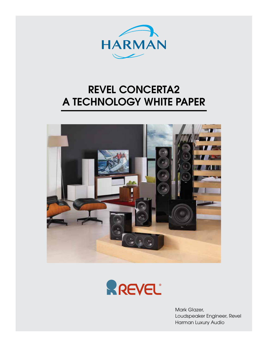

# REVEL CONCERTA2 A TECHNOLOGY WHITE PAPER





Mark Glazer, Loudspeaker Engineer, Revel Harman Luxury Audio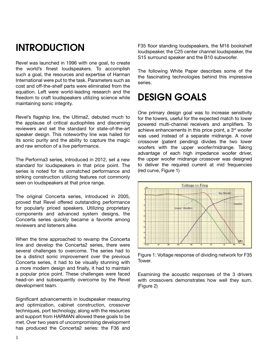## INTRODUCTION

Revel was launched in 1996 with one goal, to create the world's finest loudspeakers. To accomplish such a goal, the resources and expertise of Harman International were put to the task. Parameters such as cost and off-the-shelf parts were eliminated from the equation. Left were world-leading research and the freedom to craft loudspeakers utilizing science while maintaining sonic integrity.

Revel's flagship line, the Ultima2, debuted much to the applause of critical audiophiles and discerning reviewers and set the standard for state-of-the-art speaker design. This noteworthy line was hailed for its sonic purity and the ability to capture the magic and raw emotion of a live performance.

The Performa3 series, introduced in 2012, set a new standard for loudspeakers in that price point. The series is noted for its unmatched performance and striking construction utilizing features not commonly seen on loudspeakers at that price range.

The original Concerta series, introduced in 2005, proved that Revel offered outstanding performance for popularly priced speakers. Utilizing proprietary components and advanced system designs, the Concerta series quickly became a favorite among reviewers and listeners alike.

When the time approached to revamp the Concerta line and develop the Concerta2 series, there were several challenges to overcome. The series had to be a distinct sonic improvement over the previous Concerta series, it had to be visually stunning with a more modern design and finally, it had to maintain a popular price point. These challenges were faced head-on and subsequently overcome by the Revel development team.

Significant advancements in loudspeaker measuring and optimization, cabinet construction, crossover techniques, port technology, along with the resources and support from HARMAN allowed these goals to be met. Over two years of uncompromising development has produced the Concerta2 series: the F36 and

F35 floor standing loudspeakers, the M16 bookshelf loudspeaker, the C25 center channel loudspeaker, the S15 surround speaker and the B10 subwoofer.

The following White Paper describes some of the the fascinating technologies behind this impressive series.

## DESIGN GOALS

One primary design goal was to increase sensitivity for the towers, useful for the expected match to lower powered multi-channel receivers and amplifiers. To achieve enhancements in this price point, a 3<sup>rd</sup> woofer was used instead of a separate midrange. A novel crossover (patent pending) divides the two lower woofers with the upper woofer/midrange. Taking advantage of each high impedance woofer driver, the upper woofer midrange crossover was designed to deliver the required current at mid frequencies (red curve, Figure 1)



Figure 1: Voltage response of dividing network for F35 Tower.

Examining the acoustic responses of the 3 drivers with crossovers demonstrates how well they sum. (Figure 2)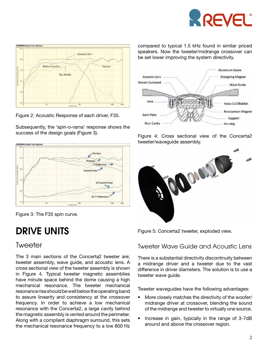



Figure 2: Acoustic Response of each driver, F35.

Subsequently, the 'spin-o-rama' response shows the success of the design goals (Figure 3).





# DRIVE UNITS

### Tweeter

The 3 main sections of the Concerta2 tweeter are; tweeter assembly, wave guide, and acoustic lens. A cross sectional view of the tweeter assembly is shown in Figure 4. Typical tweeter magnetic assemblies have minute space behind the dome causing a high mechanical resonance. The tweeter mechanical resonance rise should be well below the operating band to assure linearity and consistency at the crossover frequency. In order to achieve a low mechanical resonance with the Concerta2, a large cavity behind the magnetic assembly is vented around the perimeter. Along with a compliant diaphragm surround, this sets the mechanical resonance frequency to a low 800 Hz compared to typical 1.5 kHz found in similar priced speakers. Now the tweeter/midrange crossover can be set lower improving the system directivity.



Figure 4: Cross sectional view of the Concerta2 tweeter/waveguide assembly.



Figure 5: Concerta2 tweeter, exploded view.

#### Tweeter Wave Guide and Acoustic Lens

There is a substantial directivity discontinuity between a midrange driver and a tweeter due to the vast difference in driver diameters. The solution is to use a tweeter wave quide.

Tweeter waveguides have the following advantages:

- More closely matches the directivity of the woofer/ midrange driver at crossover, blending the sound of the midrange and tweeter to virtually one source.
- Increase in gain, typically in the range of 3-7dB around and above the crossover region.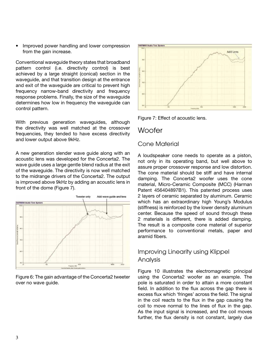• Improved power handling and lower compression from the gain increase.

Conventional waveguide theory states that broadband pattern control (i.e. directivity control) is best achieved by a large straight (conical) section in the waveguide, and that transition design at the entrance and exit of the waveguide are critical to prevent high frequency narrow-band directivity and frequency response problems. Finally, the size of the waveguide determines how low in frequency the waveguide can control pattern.

With previous generation waveguides, although the directivity was well matched at the crossover frequencies, they tended to have excess directivity and lower output above 9kHz.

A new generation slender wave guide along with an acoustic lens was developed for the Concerta2. The wave guide uses a large gentle blend radius at the exit of the waveguide. The directivity is now well matched to the midrange drivers of the Concerta2. The output is improved above 9kHz by adding an acoustic lens in front of the dome (Figure 7).



Figure 6: The gain advantage of the Concerta2 tweeter over no wave guide.



Figure 7: Effect of acoustic lens.

### **Woofer**

#### Cone Material

A loudspeaker cone needs to operate as a piston, not only in its operating band, but well above to assure proper crossover response and low distortion. The cone material should be stiff and have internal damping. The Concerta2 woofer uses the cone material, Micro-Ceramic Composite (MCC) (Harman Patent 456404897B1). This patented process uses 2 layers of ceramic separated by aluminum. Ceramic which has an extraordinary high Young's Modulus (stiffness) is reinforced by the lower density aluminum center. Because the speed of sound through these 2 materials is different, there is added damping. The result is a composite cone material of superior performance to conventional metals, paper and aramid fibers.

### Improving Linearity using Klippel Analysis

Figure 10 illustrates the electromagnetic principal using the Concerta2 woofer as an example. The pole is saturated in order to attain a more constant field. In addition to the flux across the gap there is excess flux which 'fringes' across the field. The signal in the coil reacts to the flux in the gap causing the coil to move normal to the lines of flux in the gap. As the input signal is increased, and the coil moves further, the flux density is not constant, largely due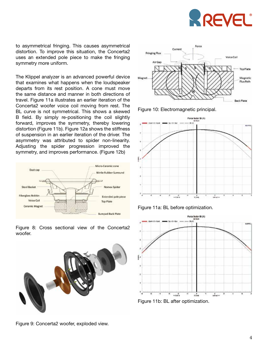

to asymmetrical fringing. This causes asymmetrical distortion. To improve this situation, the Concerta2 uses an extended pole piece to make the fringing symmetry more uniform.

The Klippel analyzer is an advanced powerful device that examines what happens when the loudspeaker departs from its rest position. A cone must move the same distance and manner in both directions of travel. Figure 11a illustrates an earlier iteration of the Concerta2 woofer voice coil moving from rest. The BL curve is not symmetrical. This shows a skewed B field. By simply re-positioning the coil slightly forward, improves the symmetry, thereby lowering distortion (Figure 11b). Figure 12a shows the stiffness of suspension in an earlier iteration of the driver. The asymmetry was attributed to spider non-linearity. Adjusting the spider progression improved the symmetry, and improves performance. (Figure 12b)



Figure 8: Cross sectional view of the Concerta2 woofer.





Figure 10: Electromagnetic principal.







Figure 9: Concerta2 woofer, exploded view.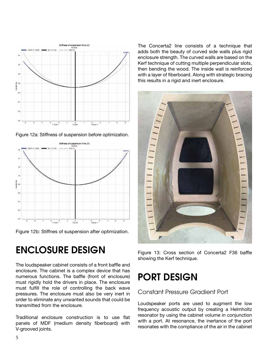

Figure 12a: Stiffness of suspension before optimization.



Figure 12b: Stiffnes of suspension after optimization.

# ENCLOSURE DESIGN

The loudspeaker cabinet consists of a front baffle and enclosure. The cabinet is a complex device that has numerous functions. The baffle (front of enclosure) must rigidly hold the drivers in place. The enclosure must fulfill the role of controlling the back wave pressures. The enclosure must also be very inert in order to eliminate any unwanted sounds that could be transmitted from the enclosure.

Traditional enclosure construction is to use flat panels of MDF (medium density fiberboard) with V-grooved joints.

The Concerta2 line consists of a technique that adds both the beauty of curved side walls plus rigid enclosure strength. The curved walls are based on the Kerf technique of cutting multiple perpendicular slots, then bending the wood. The inside wall is reinforced with a layer of fiberboard. Along with strategic bracing this results in a rigid and inert enclosure.



Figure 13: Cross section of Concerta2 F36 baffle showing the Kerf technique.

# PORT DESIGN

#### Constant Pressure Gradient Port

Loudspeaker ports are used to augment the low frequency acoustic output by creating a Helmholtz resonator by using the cabinet volume in conjunction with a port. At resonance, the inertance of the port resonates with the compliance of the air in the cabinet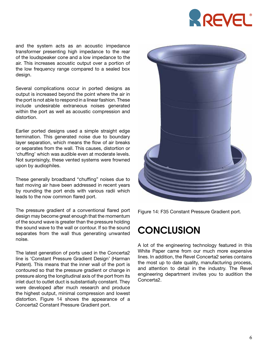

and the system acts as an acoustic impedance transformer presenting high impedance to the rear of the loudspeaker cone and a low impedance to the air. This increases acoustic output over a portion of the low frequency range compared to a sealed box design.

Several complications occur in ported designs as output is increased beyond the point where the air in the port is not able to respond in a linear fashion. These include undesirable extraneous noises generated within the port as well as acoustic compression and distortion.

Earlier ported designs used a simple straight edge termination. This generated noise due to boundary layer separation, which means the flow of air breaks or separates from the wall. This causes, distortion or 'chuffing' which was audible even at moderate levels. Not surprisingly, these vented systems were frowned upon by audiophiles.

These generally broadband "chuffing" noises due to fast moving air have been addressed in recent years by rounding the port ends with various radii which leads to the now common flared port.

The pressure gradient of a conventional flared port design may become great enough that the momentum of the sound wave is greater than the pressure holding the sound wave to the wall or contour. If so the sound separates from the wall thus generating unwanted noise.

The latest generation of ports used in the Concerta2 line is 'Constant Pressure Gradient Design' (Harman Patent). This means that the inner wall of the port is contoured so that the pressure gradient or change in pressure along the longitudinal axis of the port from its inlet duct to outlet duct is substantially constant. They were developed after much research and produce the highest output, minimal compression and lowest distortion. Figure 14 shows the appearance of a Concerta2 Constant Pressure Gradient port.



Figure 14: F35 Constant Pressure Gradient port.

## **CONCLUSION**

A lot of the engineering technology featured in this White Paper came from our much more expensive lines. In addition, the Revel Concerta2 series contains the most up to date quality, manufacturing process, and attention to detail in the industry. The Revel engineering department invites you to audition the Concerta2.